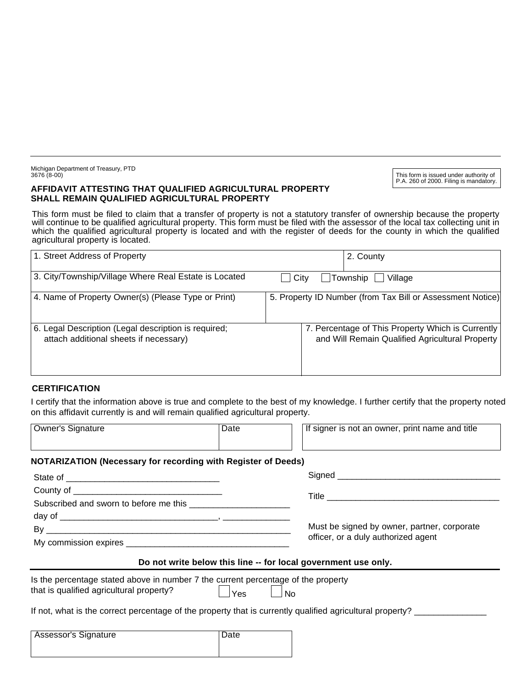Michigan Department of Treasury, PTD 3676 (8-00)

#### **AFFIDAVIT ATTESTING THAT QUALIFIED AGRICULTURAL PROPERTY SHALL REMAIN QUALIFIED AGRICULTURAL PROPERTY**

This form is issued under authority of P.A. 260 of 2000. Filing is mandatory.

This form must be filed to claim that a transfer of property is not a statutory transfer of ownership because the property will continue to be qualified agricultural property. This form must be filed with the assessor of the local tax collecting unit in which the qualified agricultural property is located and with the register of deeds for the county in which the qualified agricultural property is located.

| 1. Street Address of Property                                                                  | 2. County                                                                                            |
|------------------------------------------------------------------------------------------------|------------------------------------------------------------------------------------------------------|
| 3. City/Township/Village Where Real Estate is Located                                          | Township<br><b>City</b><br>Village                                                                   |
| 4. Name of Property Owner(s) (Please Type or Print)                                            | 5. Property ID Number (from Tax Bill or Assessment Notice)                                           |
| 6. Legal Description (Legal description is required;<br>attach additional sheets if necessary) | 7. Percentage of This Property Which is Currently<br>and Will Remain Qualified Agricultural Property |

### **CERTIFICATION**

I certify that the information above is true and complete to the best of my knowledge. I further certify that the property noted on this affidavit currently is and will remain qualified agricultural property.

| <b>Owner's Signature</b>                                                                                                      | Date | If signer is not an owner, print name and title                                                           |
|-------------------------------------------------------------------------------------------------------------------------------|------|-----------------------------------------------------------------------------------------------------------|
| <b>NOTARIZATION (Necessary for recording with Register of Deeds)</b>                                                          |      |                                                                                                           |
|                                                                                                                               |      |                                                                                                           |
|                                                                                                                               |      |                                                                                                           |
|                                                                                                                               |      |                                                                                                           |
|                                                                                                                               |      |                                                                                                           |
|                                                                                                                               |      | Must be signed by owner, partner, corporate<br>officer, or a duly authorized agent                        |
|                                                                                                                               |      |                                                                                                           |
|                                                                                                                               |      | Do not write below this line -- for local government use only.                                            |
| Is the percentage stated above in number 7 the current percentage of the property<br>that is qualified agricultural property? | Yes  | <b>No</b>                                                                                                 |
|                                                                                                                               |      | If not, what is the correct percentage of the property that is currently qualified agricultural property? |
| <b>Assessor's Signature</b>                                                                                                   | Date |                                                                                                           |